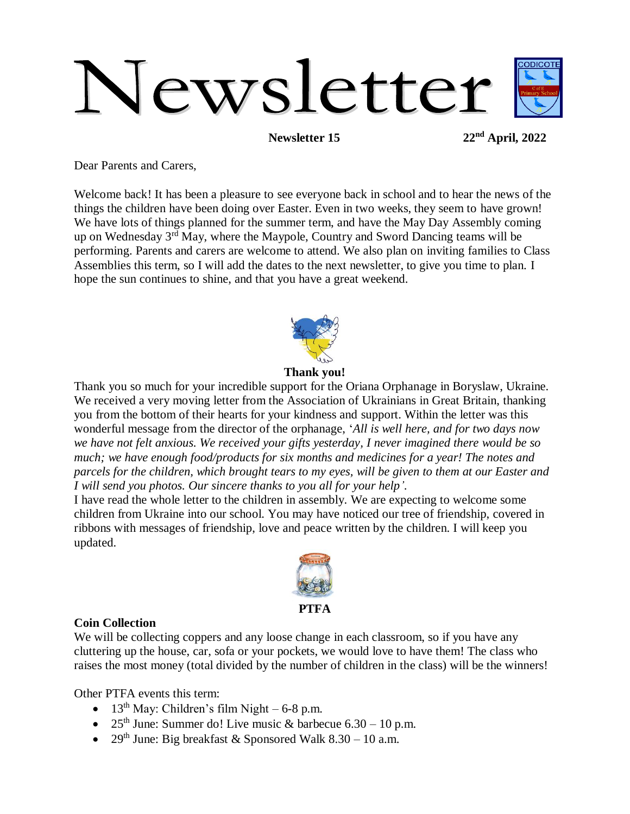# Newsletter

**Newsletter 15 22nd April, 2022**

Dear Parents and Carers,

Welcome back! It has been a pleasure to see everyone back in school and to hear the news of the things the children have been doing over Easter. Even in two weeks, they seem to have grown! We have lots of things planned for the summer term, and have the May Day Assembly coming up on Wednesday 3rd May, where the Maypole, Country and Sword Dancing teams will be performing. Parents and carers are welcome to attend. We also plan on inviting families to Class Assemblies this term, so I will add the dates to the next newsletter, to give you time to plan. I hope the sun continues to shine, and that you have a great weekend.



**Thank you!**

Thank you so much for your incredible support for the Oriana Orphanage in Boryslaw, Ukraine. We received a very moving letter from the Association of Ukrainians in Great Britain, thanking you from the bottom of their hearts for your kindness and support. Within the letter was this wonderful message from the director of the orphanage, '*All is well here, and for two days now we have not felt anxious. We received your gifts yesterday, I never imagined there would be so much; we have enough food/products for six months and medicines for a year! The notes and parcels for the children, which brought tears to my eyes, will be given to them at our Easter and I will send you photos. Our sincere thanks to you all for your help'*.

I have read the whole letter to the children in assembly. We are expecting to welcome some children from Ukraine into our school. You may have noticed our tree of friendship, covered in ribbons with messages of friendship, love and peace written by the children. I will keep you updated.



#### **Coin Collection**

We will be collecting coppers and any loose change in each classroom, so if you have any cluttering up the house, car, sofa or your pockets, we would love to have them! The class who raises the most money (total divided by the number of children in the class) will be the winners!

Other PTFA events this term:

- $\bullet$  13<sup>th</sup> May: Children's film Night 6-8 p.m.
- 25<sup>th</sup> June: Summer do! Live music & barbecue  $6.30 10$  p.m.
- 29<sup>th</sup> June: Big breakfast & Sponsored Walk  $8.30 10$  a.m.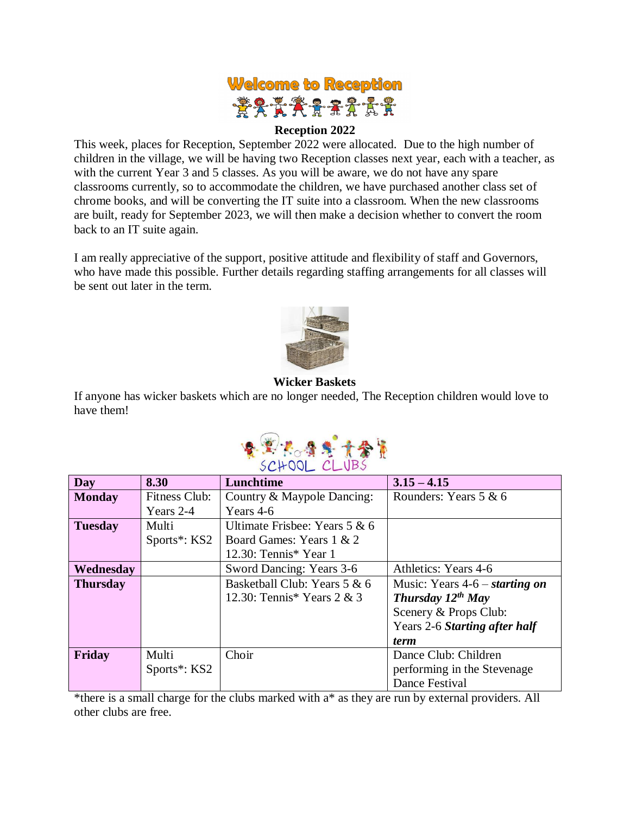

#### **Reception 2022**

This week, places for Reception, September 2022 were allocated. Due to the high number of children in the village, we will be having two Reception classes next year, each with a teacher, as with the current Year 3 and 5 classes. As you will be aware, we do not have any spare classrooms currently, so to accommodate the children, we have purchased another class set of chrome books, and will be converting the IT suite into a classroom. When the new classrooms are built, ready for September 2023, we will then make a decision whether to convert the room back to an IT suite again.

I am really appreciative of the support, positive attitude and flexibility of staff and Governors, who have made this possible. Further details regarding staffing arrangements for all classes will be sent out later in the term.



#### **Wicker Baskets**

If anyone has wicker baskets which are no longer needed, The Reception children would love to have them!



| Day             | 8.30                      | Lunchtime                       | $3.15 - 4.15$                    |
|-----------------|---------------------------|---------------------------------|----------------------------------|
| <b>Monday</b>   | Fitness Club:             | Country & Maypole Dancing:      | Rounders: Years $5 & 6$          |
|                 | Years 2-4                 | Years 4-6                       |                                  |
| <b>Tuesday</b>  | Multi                     | Ultimate Frisbee: Years $5 & 6$ |                                  |
|                 | Sports <sup>*</sup> : KS2 | Board Games: Years 1 & 2        |                                  |
|                 |                           | 12.30: Tennis* Year 1           |                                  |
| Wednesday       |                           | Sword Dancing: Years 3-6        | Athletics: Years 4-6             |
| <b>Thursday</b> |                           | Basketball Club: Years 5 & 6    | Music: Years $4-6$ – starting on |
|                 |                           | 12.30: Tennis* Years $2 & 3$    | Thursday $12^{th}$ May           |
|                 |                           |                                 | Scenery & Props Club:            |
|                 |                           |                                 | Years 2-6 Starting after half    |
|                 |                           |                                 | <i>term</i>                      |
| Friday          | Multi                     | Choir                           | Dance Club: Children             |
|                 | Sports*: KS2              |                                 | performing in the Stevenage      |
|                 |                           |                                 | Dance Festival                   |

\*there is a small charge for the clubs marked with a\* as they are run by external providers. All other clubs are free.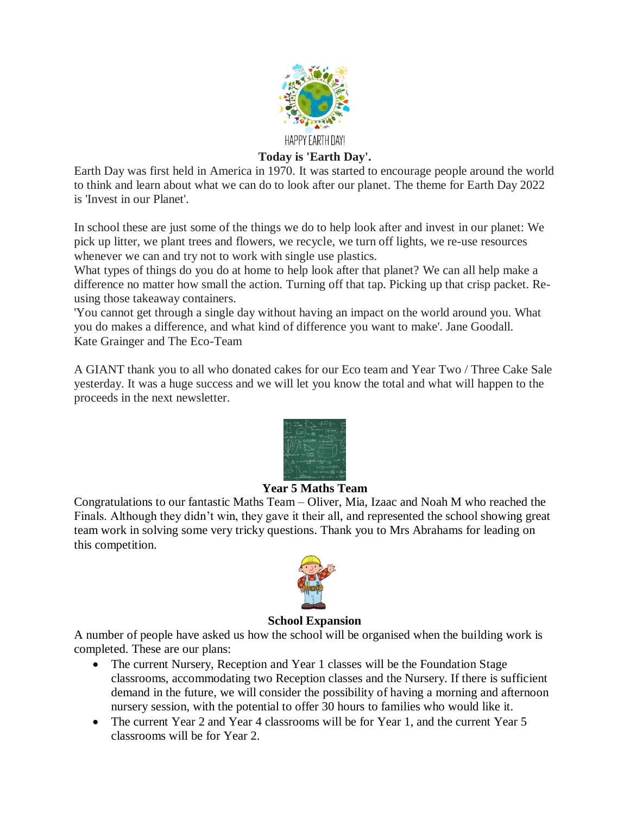

## **Today is 'Earth Day'.**

Earth Day was first held in America in 1970. It was started to encourage people around the world to think and learn about what we can do to look after our planet. The theme for Earth Day 2022 is 'Invest in our Planet'.

In school these are just some of the things we do to help look after and invest in our planet: We pick up litter, we plant trees and flowers, we recycle, we turn off lights, we re-use resources whenever we can and try not to work with single use plastics.

What types of things do you do at home to help look after that planet? We can all help make a difference no matter how small the action. Turning off that tap. Picking up that crisp packet. Reusing those takeaway containers.

'You cannot get through a single day without having an impact on the world around you. What you do makes a difference, and what kind of difference you want to make'. Jane Goodall. Kate Grainger and The Eco-Team

A GIANT thank you to all who donated cakes for our Eco team and Year Two / Three Cake Sale yesterday. It was a huge success and we will let you know the total and what will happen to the proceeds in the next newsletter.



## **Year 5 Maths Team**

Congratulations to our fantastic Maths Team – Oliver, Mia, Izaac and Noah M who reached the Finals. Although they didn't win, they gave it their all, and represented the school showing great team work in solving some very tricky questions. Thank you to Mrs Abrahams for leading on this competition.



#### **School Expansion**

A number of people have asked us how the school will be organised when the building work is completed. These are our plans:

- The current Nursery, Reception and Year 1 classes will be the Foundation Stage classrooms, accommodating two Reception classes and the Nursery. If there is sufficient demand in the future, we will consider the possibility of having a morning and afternoon nursery session, with the potential to offer 30 hours to families who would like it.
- The current Year 2 and Year 4 classrooms will be for Year 1, and the current Year 5 classrooms will be for Year 2.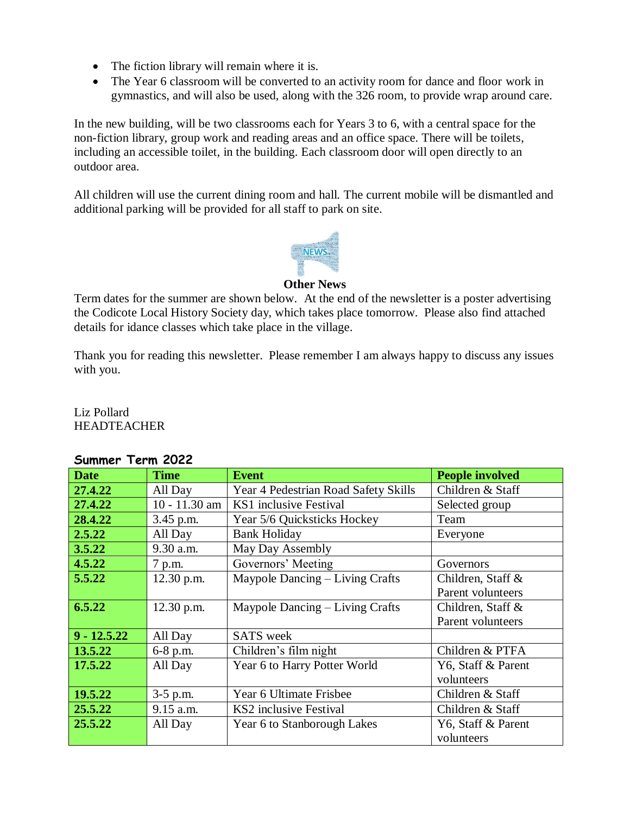- The fiction library will remain where it is.
- The Year 6 classroom will be converted to an activity room for dance and floor work in gymnastics, and will also be used, along with the 326 room, to provide wrap around care.

In the new building, will be two classrooms each for Years 3 to 6, with a central space for the non-fiction library, group work and reading areas and an office space. There will be toilets, including an accessible toilet, in the building. Each classroom door will open directly to an outdoor area.

All children will use the current dining room and hall. The current mobile will be dismantled and additional parking will be provided for all staff to park on site.



### **Other News**

Term dates for the summer are shown below. At the end of the newsletter is a poster advertising the Codicote Local History Society day, which takes place tomorrow. Please also find attached details for idance classes which take place in the village.

Thank you for reading this newsletter. Please remember I am always happy to discuss any issues with you.

Liz Pollard HEADTEACHER

| <b>Date</b>   | <b>Time</b>     | <b>Event</b>                         | <b>People involved</b> |  |  |
|---------------|-----------------|--------------------------------------|------------------------|--|--|
| 27.4.22       | All Day         | Year 4 Pedestrian Road Safety Skills | Children & Staff       |  |  |
| 27.4.22       | $10 - 11.30$ am | KS1 inclusive Festival               | Selected group         |  |  |
| 28.4.22       | 3.45 p.m.       | Year 5/6 Quicksticks Hockey          | Team                   |  |  |
| 2.5.22        | All Day         | <b>Bank Holiday</b>                  | Everyone               |  |  |
| 3.5.22        | 9.30 a.m.       | May Day Assembly                     |                        |  |  |
| 4.5.22        | 7 p.m.          | Governors' Meeting                   | Governors              |  |  |
| 5.5.22        | 12.30 p.m.      | Maypole Dancing – Living Crafts      | Children, Staff &      |  |  |
|               |                 |                                      | Parent volunteers      |  |  |
| 6.5.22        | 12.30 p.m.      | Maypole Dancing – Living Crafts      | Children, Staff &      |  |  |
|               |                 |                                      | Parent volunteers      |  |  |
| $9 - 12.5.22$ | All Day         | <b>SATS</b> week                     |                        |  |  |
| 13.5.22       | 6-8 p.m.        | Children's film night                | Children & PTFA        |  |  |
| 17.5.22       | All Day         | Year 6 to Harry Potter World         | Y6, Staff & Parent     |  |  |
|               |                 |                                      | volunteers             |  |  |
| 19.5.22       | $3-5$ p.m.      | Year 6 Ultimate Frisbee              | Children & Staff       |  |  |
| 25.5.22       | 9.15 a.m.       | KS2 inclusive Festival               | Children & Staff       |  |  |
| 25.5.22       | All Day         | Year 6 to Stanborough Lakes          | Y6, Staff & Parent     |  |  |
|               |                 |                                      | volunteers             |  |  |

#### **Summer Term 2022**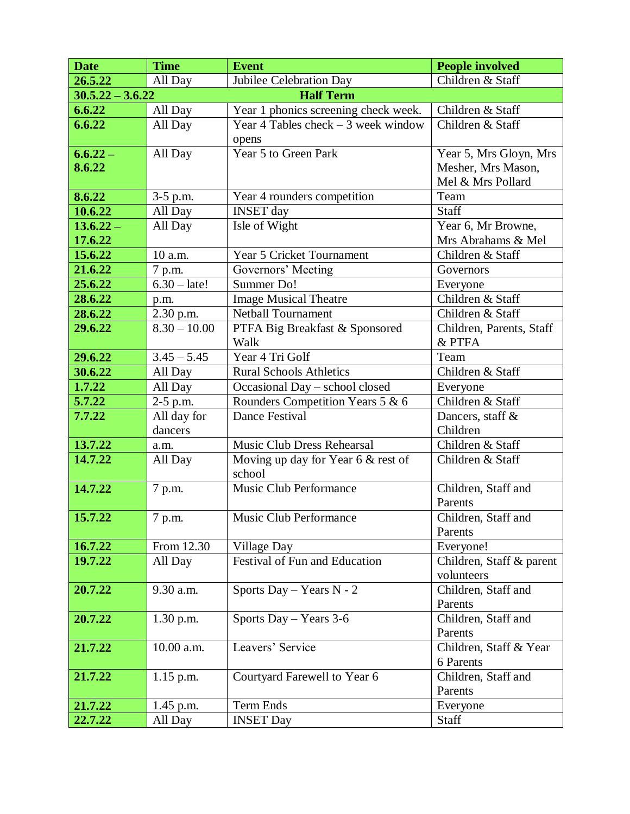| <b>Date</b>                            | <b>Time</b>    | <b>Event</b>                         | <b>People involved</b>         |  |  |
|----------------------------------------|----------------|--------------------------------------|--------------------------------|--|--|
| 26.5.22                                | All Day        | Jubilee Celebration Day              | Children & Staff               |  |  |
| <b>Half Term</b><br>$30.5.22 - 3.6.22$ |                |                                      |                                |  |  |
| 6.6.22                                 | All Day        | Year 1 phonics screening check week. | Children & Staff               |  |  |
| 6.6.22                                 | All Day        | Year 4 Tables check $-3$ week window | Children & Staff               |  |  |
|                                        |                | opens                                |                                |  |  |
| $6.6.22 -$                             | All Day        | Year 5 to Green Park                 | Year 5, Mrs Gloyn, Mrs         |  |  |
| 8.6.22                                 |                |                                      | Mesher, Mrs Mason,             |  |  |
|                                        |                |                                      | Mel & Mrs Pollard              |  |  |
| 8.6.22                                 | 3-5 p.m.       | Year 4 rounders competition          | Team                           |  |  |
| 10.6.22                                | All Day        | <b>INSET</b> day                     | <b>Staff</b>                   |  |  |
| $13.6.22 -$                            | All Day        | Isle of Wight                        | Year 6, Mr Browne,             |  |  |
| 17.6.22                                |                |                                      | Mrs Abrahams & Mel             |  |  |
| 15.6.22                                | 10 a.m.        | Year 5 Cricket Tournament            | Children & Staff               |  |  |
| 21.6.22                                | 7 p.m.         | Governors' Meeting                   | Governors                      |  |  |
| 25.6.22                                | $6.30 - late!$ | Summer Do!                           | Everyone                       |  |  |
| 28.6.22                                | p.m.           | <b>Image Musical Theatre</b>         | Children & Staff               |  |  |
| 28.6.22                                | 2.30 p.m.      | <b>Netball Tournament</b>            | Children & Staff               |  |  |
| 29.6.22                                | $8.30 - 10.00$ | PTFA Big Breakfast & Sponsored       | Children, Parents, Staff       |  |  |
|                                        |                | Walk                                 | & PTFA                         |  |  |
| 29.6.22                                | $3.45 - 5.45$  | Year 4 Tri Golf                      | Team                           |  |  |
| 30.6.22                                | All Day        | <b>Rural Schools Athletics</b>       | Children & Staff               |  |  |
| 1.7.22                                 | All Day        | Occasional Day - school closed       | Everyone                       |  |  |
| 5.7.22                                 | 2-5 p.m.       | Rounders Competition Years 5 & 6     | Children & Staff               |  |  |
| 7.7.22                                 | All day for    | Dance Festival                       | Dancers, staff &               |  |  |
|                                        | dancers        |                                      | Children                       |  |  |
| 13.7.22                                | a.m.           | Music Club Dress Rehearsal           | Children & Staff               |  |  |
| 14.7.22                                | All Day        | Moving up day for Year 6 & rest of   | Children & Staff               |  |  |
|                                        |                | school                               |                                |  |  |
| 14.7.22                                | 7 p.m.         | Music Club Performance               | Children, Staff and            |  |  |
|                                        |                |                                      | Parents                        |  |  |
| 15.7.22                                | 7 p.m.         | Music Club Performance               | Children, Staff and            |  |  |
|                                        |                |                                      | Parents                        |  |  |
| 16.7.22                                | From 12.30     | <b>Village Day</b>                   | Everyone!                      |  |  |
| 19.7.22                                | All Day        | <b>Festival of Fun and Education</b> | Children, Staff & parent       |  |  |
|                                        |                |                                      | volunteers                     |  |  |
| 20.7.22                                | 9.30 a.m.      | Sports Day – Years $N - 2$           | Children, Staff and            |  |  |
| 20.7.22                                |                |                                      | Parents                        |  |  |
|                                        | $1.30$ p.m.    | Sports Day - Years 3-6               | Children, Staff and<br>Parents |  |  |
| 21.7.22                                | 10.00 a.m.     | Leavers' Service                     | Children, Staff & Year         |  |  |
|                                        |                |                                      | 6 Parents                      |  |  |
| 21.7.22                                | $1.15$ p.m.    | Courtyard Farewell to Year 6         | Children, Staff and            |  |  |
|                                        |                |                                      | Parents                        |  |  |
| 21.7.22                                | 1.45 p.m.      | Term Ends                            | Everyone                       |  |  |
| 22.7.22                                | All Day        | <b>INSET Day</b>                     | Staff                          |  |  |
|                                        |                |                                      |                                |  |  |